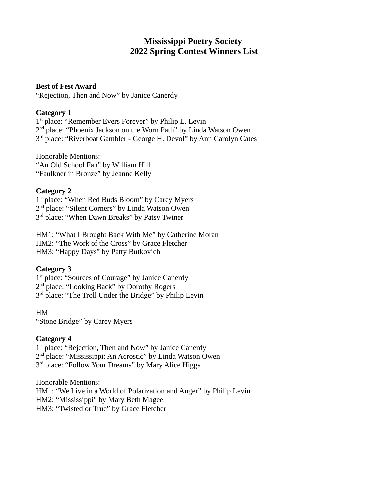# **Mississippi Poetry Society 2022 Spring Contest Winners List**

#### **Best of Fest Award**

"Rejection, Then and Now" by Janice Canerdy

## **Category 1**

1<sup>st</sup> place: "Remember Evers Forever" by Philip L. Levin 2<sup>nd</sup> place: "Phoenix Jackson on the Worn Path" by Linda Watson Owen 3<sup>rd</sup> place: "Riverboat Gambler - George H. Devol" by Ann Carolyn Cates

Honorable Mentions: "An Old School Fan" by William Hill "Faulkner in Bronze" by Jeanne Kelly

# **Category 2**

1<sup>st</sup> place: "When Red Buds Bloom" by Carey Myers 2<sup>nd</sup> place: "Silent Corners" by Linda Watson Owen 3<sup>rd</sup> place: "When Dawn Breaks" by Patsy Twiner

HM1: "What I Brought Back With Me" by Catherine Moran HM2: "The Work of the Cross" by Grace Fletcher HM3: "Happy Days" by Patty Butkovich

# **Category 3**

1<sup>st</sup> place: "Sources of Courage" by Janice Canerdy 2<sup>nd</sup> place: "Looking Back" by Dorothy Rogers 3<sup>rd</sup> place: "The Troll Under the Bridge" by Philip Levin

HM "Stone Bridge" by Carey Myers

## **Category 4**

1<sup>st</sup> place: "Rejection, Then and Now" by Janice Canerdy 2<sup>nd</sup> place: "Mississippi: An Acrostic" by Linda Watson Owen 3<sup>rd</sup> place: "Follow Your Dreams" by Mary Alice Higgs

Honorable Mentions:

HM1: "We Live in a World of Polarization and Anger" by Philip Levin

HM2: "Mississippi" by Mary Beth Magee

HM3: "Twisted or True" by Grace Fletcher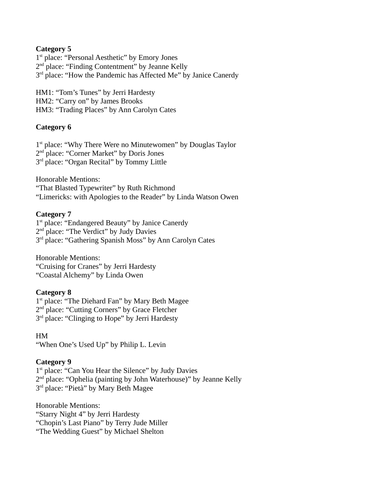1<sup>st</sup> place: "Personal Aesthetic" by Emory Jones 2<sup>nd</sup> place: "Finding Contentment" by Jeanne Kelly 3<sup>rd</sup> place: "How the Pandemic has Affected Me" by Janice Canerdy

HM1: "Tom's Tunes" by Jerri Hardesty HM2: "Carry on" by James Brooks HM3: "Trading Places" by Ann Carolyn Cates

## **Category 6**

1<sup>st</sup> place: "Why There Were no Minutewomen" by Douglas Taylor 2<sup>nd</sup> place: "Corner Market" by Doris Jones 3<sup>rd</sup> place: "Organ Recital" by Tommy Little

Honorable Mentions: "That Blasted Typewriter" by Ruth Richmond "Limericks: with Apologies to the Reader" by Linda Watson Owen

#### **Category 7**

1<sup>st</sup> place: "Endangered Beauty" by Janice Canerdy 2<sup>nd</sup> place: "The Verdict" by Judy Davies 3<sup>rd</sup> place: "Gathering Spanish Moss" by Ann Carolyn Cates

Honorable Mentions: "Cruising for Cranes" by Jerri Hardesty "Coastal Alchemy" by Linda Owen

#### **Category 8**

1<sup>st</sup> place: "The Diehard Fan" by Mary Beth Magee 2<sup>nd</sup> place: "Cutting Corners" by Grace Fletcher 3<sup>rd</sup> place: "Clinging to Hope" by Jerri Hardesty

#### HM

"When One's Used Up" by Philip L. Levin

## **Category 9**

1<sup>st</sup> place: "Can You Hear the Silence" by Judy Davies 2<sup>nd</sup> place: "Ophelia (painting by John Waterhouse)" by Jeanne Kelly 3<sup>rd</sup> place: "Pietà" by Mary Beth Magee

Honorable Mentions: "Starry Night 4" by Jerri Hardesty "Chopin's Last Piano" by Terry Jude Miller "The Wedding Guest" by Michael Shelton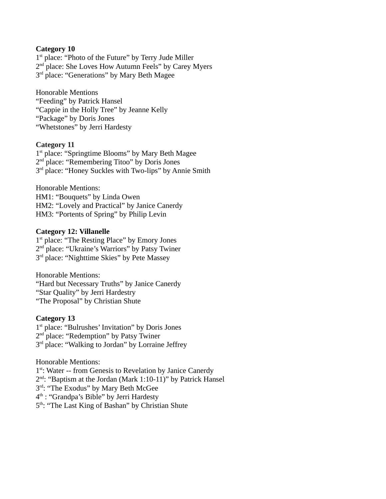1<sup>st</sup> place: "Photo of the Future" by Terry Jude Miller 2<sup>nd</sup> place: She Loves How Autumn Feels" by Carey Myers 3<sup>rd</sup> place: "Generations" by Mary Beth Magee

Honorable Mentions "Feeding" by Patrick Hansel "Cappie in the Holly Tree" by Jeanne Kelly "Package" by Doris Jones "Whetstones" by Jerri Hardesty

## **Category 11**

1<sup>st</sup> place: "Springtime Blooms" by Mary Beth Magee 2<sup>nd</sup> place: "Remembering Titoo" by Doris Jones 3<sup>rd</sup> place: "Honey Suckles with Two-lips" by Annie Smith

Honorable Mentions: HM1: "Bouquets" by Linda Owen HM2: "Lovely and Practical" by Janice Canerdy HM3: "Portents of Spring" by Philip Levin

#### **Category 12: Villanelle**

1<sup>st</sup> place: "The Resting Place" by Emory Jones 2<sup>nd</sup> place: "Ukraine's Warriors" by Patsy Twiner 3<sup>rd</sup> place: "Nighttime Skies" by Pete Massey

Honorable Mentions: "Hard but Necessary Truths" by Janice Canerdy "Star Quality" by Jerri Hardestry "The Proposal" by Christian Shute

## **Category 13**

1 st place: "Bulrushes' Invitation" by Doris Jones 2<sup>nd</sup> place: "Redemption" by Patsy Twiner 3<sup>rd</sup> place: "Walking to Jordan" by Lorraine Jeffrey

## Honorable Mentions:

1<sup>st</sup>: Water -- from Genesis to Revelation by Janice Canerdy

2<sup>nd</sup>: "Baptism at the Jordan (Mark 1:10-11)" by Patrick Hansel

3<sup>rd</sup>: "The Exodus" by Mary Beth McGee

4<sup>th</sup> : "Grandpa's Bible" by Jerri Hardesty

5<sup>th</sup>: "The Last King of Bashan" by Christian Shute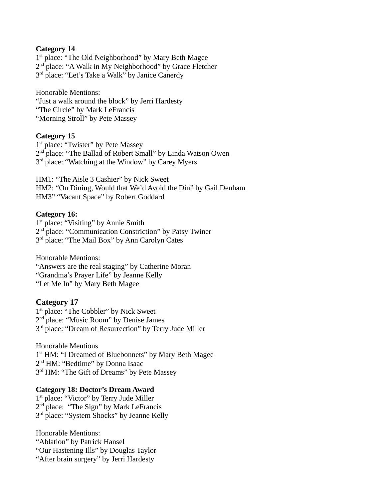1<sup>st</sup> place: "The Old Neighborhood" by Mary Beth Magee 2<sup>nd</sup> place: "A Walk in My Neighborhood" by Grace Fletcher 3<sup>rd</sup> place: "Let's Take a Walk" by Janice Canerdy

Honorable Mentions: "Just a walk around the block" by Jerri Hardesty "The Circle" by Mark LeFrancis "Morning Stroll" by Pete Massey

#### **Category 15**

1<sup>st</sup> place: "Twister" by Pete Massey 2<sup>nd</sup> place: "The Ballad of Robert Small" by Linda Watson Owen 3<sup>rd</sup> place: "Watching at the Window" by Carey Myers

HM1: "The Aisle 3 Cashier" by Nick Sweet HM2: "On Dining, Would that We'd Avoid the Din" by Gail Denham HM3" "Vacant Space" by Robert Goddard

#### **Category 16:**

1<sup>st</sup> place: "Visiting" by Annie Smith 2<sup>nd</sup> place: "Communication Constriction" by Patsy Twiner 3<sup>rd</sup> place: "The Mail Box" by Ann Carolyn Cates

Honorable Mentions: "Answers are the real staging" by Catherine Moran "Grandma's Prayer Life" by Jeanne Kelly "Let Me In" by Mary Beth Magee

#### **Category 17**

1<sup>st</sup> place: "The Cobbler" by Nick Sweet 2<sup>nd</sup> place: "Music Room" by Denise James 3<sup>rd</sup> place: "Dream of Resurrection" by Terry Jude Miller

Honorable Mentions 1<sup>st</sup> HM: "I Dreamed of Bluebonnets" by Mary Beth Magee 2<sup>nd</sup> HM: "Bedtime" by Donna Isaac 3<sup>rd</sup> HM: "The Gift of Dreams" by Pete Massey

#### **Category 18: Doctor's Dream Award**

1<sup>st</sup> place: "Victor" by Terry Jude Miller 2<sup>nd</sup> place: "The Sign" by Mark LeFrancis 3<sup>rd</sup> place: "System Shocks" by Jeanne Kelly

Honorable Mentions: "Ablation" by Patrick Hansel "Our Hastening Ills" by Douglas Taylor "After brain surgery" by Jerri Hardesty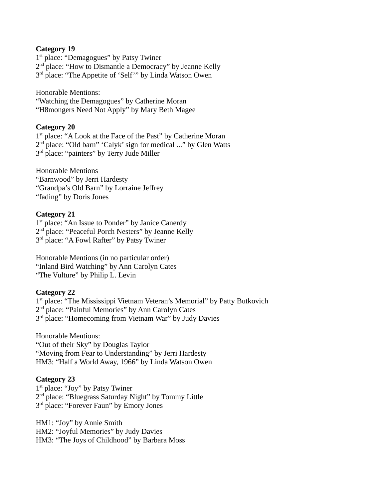1<sup>st</sup> place: "Demagogues" by Patsy Twiner 2<sup>nd</sup> place: "How to Dismantle a Democracy" by Jeanne Kelly 3<sup>rd</sup> place: "The Appetite of 'Self'" by Linda Watson Owen

Honorable Mentions: "Watching the Demagogues" by Catherine Moran "H8mongers Need Not Apply" by Mary Beth Magee

#### **Category 20**

1<sup>st</sup> place: "A Look at the Face of the Past" by Catherine Moran 2<sup>nd</sup> place: "Old barn" 'Calyk' sign for medical ..." by Glen Watts 3<sup>rd</sup> place: "painters" by Terry Jude Miller

Honorable Mentions "Barnwood" by Jerri Hardesty "Grandpa's Old Barn" by Lorraine Jeffrey "fading" by Doris Jones

#### **Category 21**

1<sup>st</sup> place: "An Issue to Ponder" by Janice Canerdy 2<sup>nd</sup> place: "Peaceful Porch Nesters" by Jeanne Kelly 3<sup>rd</sup> place: "A Fowl Rafter" by Patsy Twiner

Honorable Mentions (in no particular order) "Inland Bird Watching" by Ann Carolyn Cates "The Vulture" by Philip L. Levin

## **Category 22**

1<sup>st</sup> place: "The Mississippi Vietnam Veteran's Memorial" by Patty Butkovich 2<sup>nd</sup> place: "Painful Memories" by Ann Carolyn Cates 3<sup>rd</sup> place: "Homecoming from Vietnam War" by Judy Davies

Honorable Mentions: "Out of their Sky" by Douglas Taylor "Moving from Fear to Understanding" by Jerri Hardesty HM3: "Half a World Away, 1966" by Linda Watson Owen

## **Category 23**

1<sup>st</sup> place: "Joy" by Patsy Twiner 2<sup>nd</sup> place: "Bluegrass Saturday Night" by Tommy Little 3<sup>rd</sup> place: "Forever Faun" by Emory Jones

HM1: "Joy" by Annie Smith HM2: "Joyful Memories" by Judy Davies HM3: "The Joys of Childhood" by Barbara Moss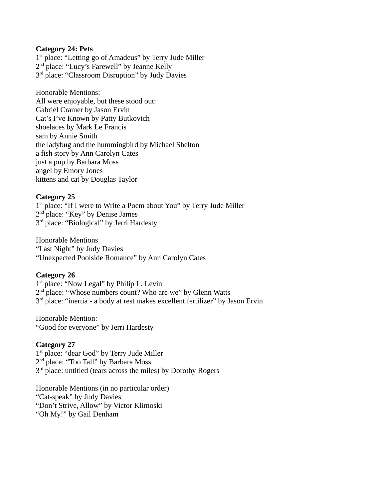#### **Category 24: Pets**

1<sup>st</sup> place: "Letting go of Amadeus" by Terry Jude Miller 2<sup>nd</sup> place: "Lucy's Farewell" by Jeanne Kelly 3<sup>rd</sup> place: "Classroom Disruption" by Judy Davies

Honorable Mentions: All were enjoyable, but these stood out: Gabriel Cramer by Jason Ervin Cat's I've Known by Patty Butkovich shoelaces by Mark Le Francis sam by Annie Smith the ladybug and the hummingbird by Michael Shelton a fish story by Ann Carolyn Cates just a pup by Barbara Moss angel by Emory Jones kittens and cat by Douglas Taylor

#### **Category 25**

1<sup>st</sup> place: "If I were to Write a Poem about You" by Terry Jude Miller 2<sup>nd</sup> place: "Key" by Denise James 3<sup>rd</sup> place: "Biological" by Jerri Hardesty

Honorable Mentions "Last Night" by Judy Davies "Unexpected Poolside Romance" by Ann Carolyn Cates

#### **Category 26**

1<sup>st</sup> place: "Now Legal" by Philip L. Levin 2<sup>nd</sup> place: "Whose numbers count? Who are we" by Glenn Watts 3<sup>rd</sup> place: "inertia - a body at rest makes excellent fertilizer" by Jason Ervin

Honorable Mention: "Good for everyone" by Jerri Hardesty

#### **Category 27**

1<sup>st</sup> place: "dear God" by Terry Jude Miller 2<sup>nd</sup> place: "Too Tall" by Barbara Moss 3<sup>rd</sup> place: untitled (tears across the miles) by Dorothy Rogers

Honorable Mentions (in no particular order) "Cat-speak" by Judy Davies "Don't Strive, Allow" by Victor Klimoski "Oh My!" by Gail Denham